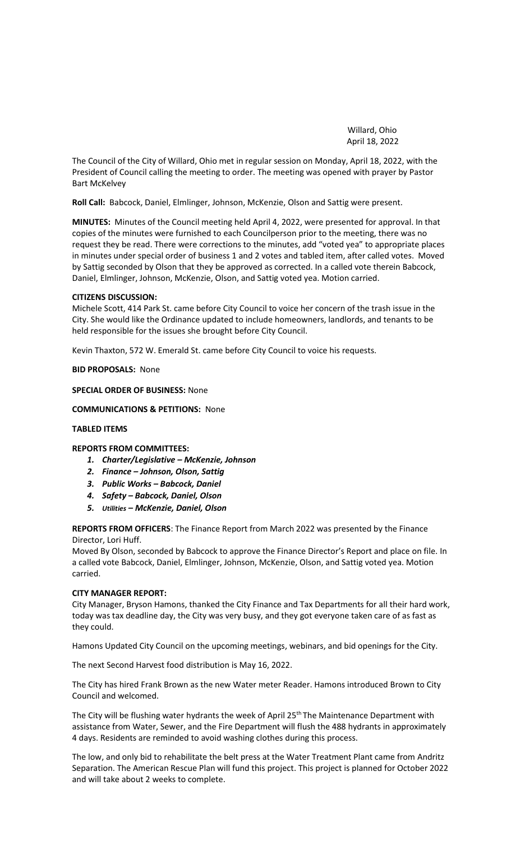Willard, Ohio April 18, 2022

The Council of the City of Willard, Ohio met in regular session on Monday, April 18, 2022, with the President of Council calling the meeting to order. The meeting was opened with prayer by Pastor Bart McKelvey

**Roll Call:** Babcock, Daniel, Elmlinger, Johnson, McKenzie, Olson and Sattig were present.

**MINUTES:** Minutes of the Council meeting held April 4, 2022, were presented for approval. In that copies of the minutes were furnished to each Councilperson prior to the meeting, there was no request they be read. There were corrections to the minutes, add "voted yea" to appropriate places in minutes under special order of business 1 and 2 votes and tabled item, after called votes. Moved by Sattig seconded by Olson that they be approved as corrected. In a called vote therein Babcock, Daniel, Elmlinger, Johnson, McKenzie, Olson, and Sattig voted yea. Motion carried.

## **CITIZENS DISCUSSION:**

Michele Scott, 414 Park St. came before City Council to voice her concern of the trash issue in the City. She would like the Ordinance updated to include homeowners, landlords, and tenants to be held responsible for the issues she brought before City Council.

Kevin Thaxton, 572 W. Emerald St. came before City Council to voice his requests.

## **BID PROPOSALS:** None

**SPECIAL ORDER OF BUSINESS:** None

**COMMUNICATIONS & PETITIONS:** None

# **TABLED ITEMS**

# **REPORTS FROM COMMITTEES:**

- *1. Charter/Legislative – McKenzie, Johnson*
- *2. Finance – Johnson, Olson, Sattig*
- *3. Public Works – Babcock, Daniel*
- *4. Safety – Babcock, Daniel, Olson*
- *5. Utilities – McKenzie, Daniel, Olson*

**REPORTS FROM OFFICERS**: The Finance Report from March 2022 was presented by the Finance Director, Lori Huff.

Moved By Olson, seconded by Babcock to approve the Finance Director's Report and place on file. In a called vote Babcock, Daniel, Elmlinger, Johnson, McKenzie, Olson, and Sattig voted yea. Motion carried.

# **CITY MANAGER REPORT:**

City Manager, Bryson Hamons, thanked the City Finance and Tax Departments for all their hard work, today was tax deadline day, the City was very busy, and they got everyone taken care of as fast as they could.

Hamons Updated City Council on the upcoming meetings, webinars, and bid openings for the City.

The next Second Harvest food distribution is May 16, 2022.

The City has hired Frank Brown as the new Water meter Reader. Hamons introduced Brown to City Council and welcomed.

The City will be flushing water hydrants the week of April 25<sup>th</sup> The Maintenance Department with assistance from Water, Sewer, and the Fire Department will flush the 488 hydrants in approximately 4 days. Residents are reminded to avoid washing clothes during this process.

The low, and only bid to rehabilitate the belt press at the Water Treatment Plant came from Andritz Separation. The American Rescue Plan will fund this project. This project is planned for October 2022 and will take about 2 weeks to complete.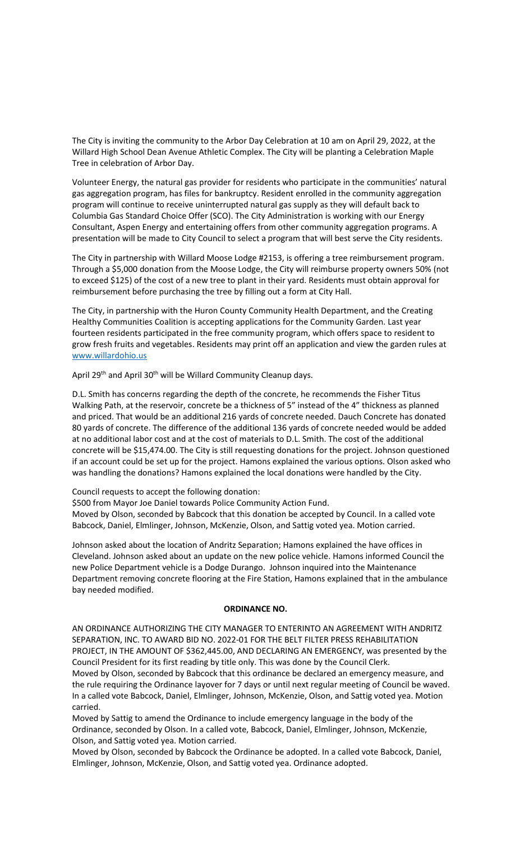The City is inviting the community to the Arbor Day Celebration at 10 am on April 29, 2022, at the Willard High School Dean Avenue Athletic Complex. The City will be planting a Celebration Maple Tree in celebration of Arbor Day.

Volunteer Energy, the natural gas provider for residents who participate in the communities' natural gas aggregation program, has files for bankruptcy. Resident enrolled in the community aggregation program will continue to receive uninterrupted natural gas supply as they will default back to Columbia Gas Standard Choice Offer (SCO). The City Administration is working with our Energy Consultant, Aspen Energy and entertaining offers from other community aggregation programs. A presentation will be made to City Council to select a program that will best serve the City residents.

The City in partnership with Willard Moose Lodge #2153, is offering a tree reimbursement program. Through a \$5,000 donation from the Moose Lodge, the City will reimburse property owners 50% (not to exceed \$125) of the cost of a new tree to plant in their yard. Residents must obtain approval for reimbursement before purchasing the tree by filling out a form at City Hall.

The City, in partnership with the Huron County Community Health Department, and the Creating Healthy Communities Coalition is accepting applications for the Community Garden. Last year fourteen residents participated in the free community program, which offers space to resident to grow fresh fruits and vegetables. Residents may print off an application and view the garden rules at [www.willardohio.us](http://www.willardohio.us/)

April 29<sup>th</sup> and April 30<sup>th</sup> will be Willard Community Cleanup days.

D.L. Smith has concerns regarding the depth of the concrete, he recommends the Fisher Titus Walking Path, at the reservoir, concrete be a thickness of 5" instead of the 4" thickness as planned and priced. That would be an additional 216 yards of concrete needed. Dauch Concrete has donated 80 yards of concrete. The difference of the additional 136 yards of concrete needed would be added at no additional labor cost and at the cost of materials to D.L. Smith. The cost of the additional concrete will be \$15,474.00. The City is still requesting donations for the project. Johnson questioned if an account could be set up for the project. Hamons explained the various options. Olson asked who was handling the donations? Hamons explained the local donations were handled by the City.

Council requests to accept the following donation:

\$500 from Mayor Joe Daniel towards Police Community Action Fund.

Moved by Olson, seconded by Babcock that this donation be accepted by Council. In a called vote Babcock, Daniel, Elmlinger, Johnson, McKenzie, Olson, and Sattig voted yea. Motion carried.

Johnson asked about the location of Andritz Separation; Hamons explained the have offices in Cleveland. Johnson asked about an update on the new police vehicle. Hamons informed Council the new Police Department vehicle is a Dodge Durango. Johnson inquired into the Maintenance Department removing concrete flooring at the Fire Station, Hamons explained that in the ambulance bay needed modified.

#### **ORDINANCE NO.**

AN ORDINANCE AUTHORIZING THE CITY MANAGER TO ENTERINTO AN AGREEMENT WITH ANDRITZ SEPARATION, INC. TO AWARD BID NO. 2022-01 FOR THE BELT FILTER PRESS REHABILITATION PROJECT, IN THE AMOUNT OF \$362,445.00, AND DECLARING AN EMERGENCY, was presented by the Council President for its first reading by title only. This was done by the Council Clerk. Moved by Olson, seconded by Babcock that this ordinance be declared an emergency measure, and the rule requiring the Ordinance layover for 7 days or until next regular meeting of Council be waved. In a called vote Babcock, Daniel, Elmlinger, Johnson, McKenzie, Olson, and Sattig voted yea. Motion carried.

Moved by Sattig to amend the Ordinance to include emergency language in the body of the Ordinance, seconded by Olson. In a called vote, Babcock, Daniel, Elmlinger, Johnson, McKenzie, Olson, and Sattig voted yea. Motion carried.

Moved by Olson, seconded by Babcock the Ordinance be adopted. In a called vote Babcock, Daniel, Elmlinger, Johnson, McKenzie, Olson, and Sattig voted yea. Ordinance adopted.